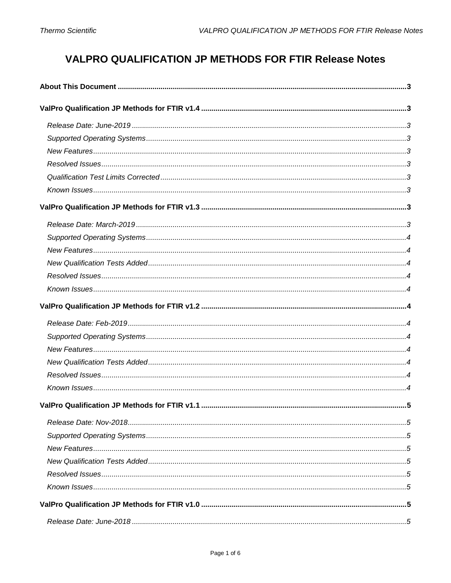# **VALPRO QUALIFICATION JP METHODS FOR FTIR Release Notes**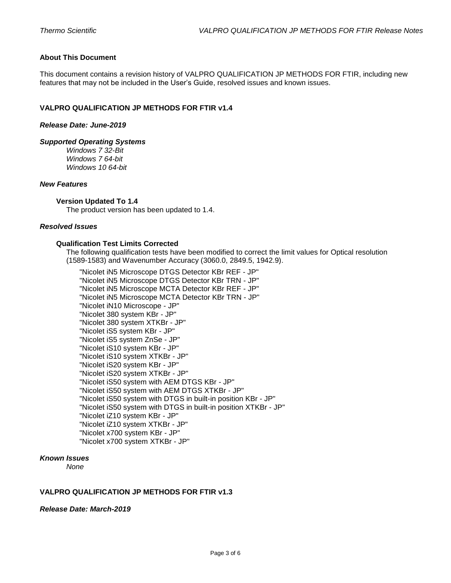## <span id="page-2-0"></span>**About This Document**

This document contains a revision history of VALPRO QUALIFICATION JP METHODS FOR FTIR, including new features that may not be included in the User's Guide, resolved issues and known issues.

## <span id="page-2-1"></span>**VALPRO QUALIFICATION JP METHODS FOR FTIR v1.4**

#### <span id="page-2-2"></span>*Release Date: June-2019*

#### <span id="page-2-3"></span>*Supported Operating Systems*

*Windows 7 32-Bit Windows 7 64-bit Windows 10 64-bit*

## <span id="page-2-4"></span>*New Features*

#### **Version Updated To 1.4**

The product version has been updated to 1.4.

## <span id="page-2-6"></span><span id="page-2-5"></span>*Resolved Issues*

## **Qualification Test Limits Corrected**

The following qualification tests have been modified to correct the limit values for Optical resolution (1589-1583) and Wavenumber Accuracy (3060.0, 2849.5, 1942.9).

"Nicolet iN5 Microscope DTGS Detector KBr REF - JP" "Nicolet iN5 Microscope DTGS Detector KBr TRN - JP" "Nicolet iN5 Microscope MCTA Detector KBr REF - JP" "Nicolet iN5 Microscope MCTA Detector KBr TRN - JP" "Nicolet iN10 Microscope - JP" "Nicolet 380 system KBr - JP" "Nicolet 380 system XTKBr - JP" "Nicolet iS5 system KBr - JP" "Nicolet iS5 system ZnSe - JP" "Nicolet iS10 system KBr - JP" "Nicolet iS10 system XTKBr - JP" "Nicolet iS20 system KBr - JP" "Nicolet iS20 system XTKBr - JP" "Nicolet iS50 system with AEM DTGS KBr - JP" "Nicolet iS50 system with AEM DTGS XTKBr - JP" "Nicolet iS50 system with DTGS in built-in position KBr - JP" "Nicolet iS50 system with DTGS in built-in position XTKBr - JP" "Nicolet iZ10 system KBr - JP" "Nicolet iZ10 system XTKBr - JP" "Nicolet x700 system KBr - JP" "Nicolet x700 system XTKBr - JP"

#### <span id="page-2-7"></span>*Known Issues*

*None*

#### <span id="page-2-8"></span>**VALPRO QUALIFICATION JP METHODS FOR FTIR v1.3**

#### <span id="page-2-9"></span>*Release Date: March-2019*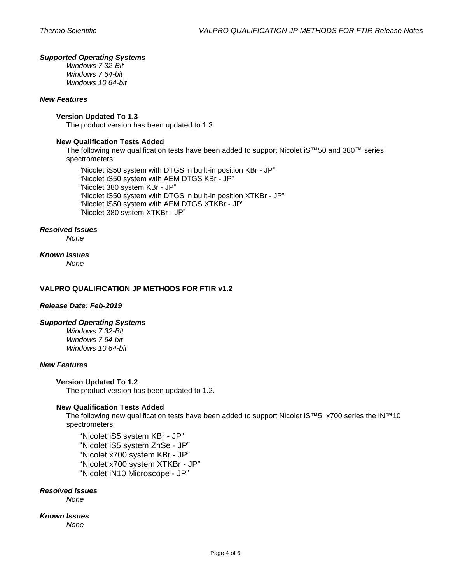## <span id="page-3-0"></span>*Supported Operating Systems*

*Windows 7 32-Bit Windows 7 64-bit Windows 10 64-bit*

## <span id="page-3-1"></span>*New Features*

## **Version Updated To 1.3**

The product version has been updated to 1.3.

## <span id="page-3-2"></span>**New Qualification Tests Added**

The following new qualification tests have been added to support Nicolet iS™50 and 380™ series spectrometers:

"Nicolet iS50 system with DTGS in built-in position KBr - JP" "Nicolet iS50 system with AEM DTGS KBr - JP" "Nicolet 380 system KBr - JP" "Nicolet iS50 system with DTGS in built-in position XTKBr - JP" "Nicolet iS50 system with AEM DTGS XTKBr - JP" "Nicolet 380 system XTKBr - JP"

## <span id="page-3-3"></span>*Resolved Issues*

*None*

## <span id="page-3-4"></span>*Known Issues*

*None*

## <span id="page-3-5"></span>**VALPRO QUALIFICATION JP METHODS FOR FTIR v1.2**

#### <span id="page-3-6"></span>*Release Date: Feb-2019*

#### <span id="page-3-7"></span>*Supported Operating Systems*

*Windows 7 32-Bit Windows 7 64-bit Windows 10 64-bit*

## <span id="page-3-8"></span>*New Features*

#### **Version Updated To 1.2**

The product version has been updated to 1.2.

## <span id="page-3-9"></span>**New Qualification Tests Added**

The following new qualification tests have been added to support Nicolet iS™5, x700 series the iN™10 spectrometers:

"Nicolet iS5 system KBr - JP" "Nicolet iS5 system ZnSe - JP" "Nicolet x700 system KBr - JP" "Nicolet x700 system XTKBr - JP" "Nicolet iN10 Microscope - JP"

## <span id="page-3-10"></span>*Resolved Issues*

*None*

<span id="page-3-11"></span>*Known Issues None*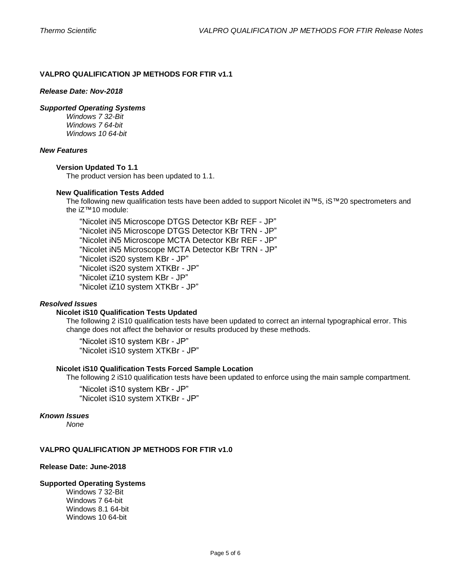## <span id="page-4-0"></span>**VALPRO QUALIFICATION JP METHODS FOR FTIR v1.1**

#### <span id="page-4-1"></span>*Release Date: Nov-2018*

#### <span id="page-4-2"></span>*Supported Operating Systems*

*Windows 7 32-Bit Windows 7 64-bit Windows 10 64-bit*

## <span id="page-4-3"></span>*New Features*

#### **Version Updated To 1.1**

The product version has been updated to 1.1.

#### <span id="page-4-4"></span>**New Qualification Tests Added**

The following new qualification tests have been added to support Nicolet iN™5, iS™20 spectrometers and the iZ™10 module:

"Nicolet iN5 Microscope DTGS Detector KBr REF - JP" "Nicolet iN5 Microscope DTGS Detector KBr TRN - JP" "Nicolet iN5 Microscope MCTA Detector KBr REF - JP" "Nicolet iN5 Microscope MCTA Detector KBr TRN - JP" "Nicolet iS20 system KBr - JP" "Nicolet iS20 system XTKBr - JP" "Nicolet iZ10 system KBr - JP" "Nicolet iZ10 system XTKBr - JP"

## <span id="page-4-5"></span>*Resolved Issues*

#### **Nicolet iS10 Qualification Tests Updated**

The following 2 iS10 qualification tests have been updated to correct an internal typographical error. This change does not affect the behavior or results produced by these methods.

"Nicolet iS10 system KBr - JP" "Nicolet iS10 system XTKBr - JP"

## **Nicolet iS10 Qualification Tests Forced Sample Location**

The following 2 iS10 qualification tests have been updated to enforce using the main sample compartment.

"Nicolet iS10 system KBr - JP" "Nicolet iS10 system XTKBr - JP"

## <span id="page-4-6"></span>*Known Issues*

*None*

## <span id="page-4-7"></span>**VALPRO QUALIFICATION JP METHODS FOR FTIR v1.0**

## <span id="page-4-8"></span>**Release Date: June-2018**

#### <span id="page-4-9"></span>**Supported Operating Systems**

Windows 7 32-Bit Windows 7 64-bit Windows 8.1 64-bit Windows 10 64-bit